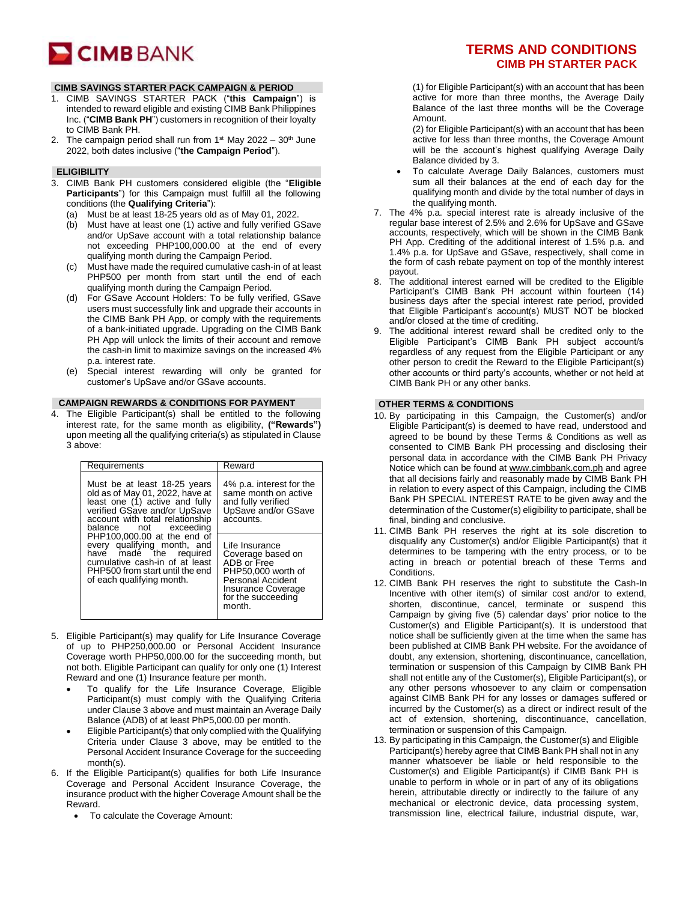# **CIMB** BANK

# **CIMB SAVINGS STARTER PACK CAMPAIGN & PERIOD**

- 1. CIMB SAVINGS STARTER PACK ("**this Campaign**") is intended to reward eligible and existing CIMB Bank Philippines Inc. ("**CIMB Bank PH**") customers in recognition of their loyalty to CIMB Bank PH.
- 2. The campaign period shall run from  $1<sup>st</sup>$  May 2022 30<sup>th</sup> June 2022, both dates inclusive ("**the Campaign Period**").

# **ELIGIBILITY**

- 3. CIMB Bank PH customers considered eligible (the "**Eligible**  Participants") for this Campaign must fulfill all the following conditions (the **Qualifying Criteria**"):
	- (a) Must be at least 18-25 years old as of May 01, 2022.
	- (b) Must have at least one (1) active and fully verified GSave and/or UpSave account with a total relationship balance not exceeding PHP100,000.00 at the end of every qualifying month during the Campaign Period.
	- (c) Must have made the required cumulative cash-in of at least PHP500 per month from start until the end of each qualifying month during the Campaign Period.
	- (d) For GSave Account Holders: To be fully verified, GSave users must successfully link and upgrade their accounts in the CIMB Bank PH App, or comply with the requirements of a bank-initiated upgrade. Upgrading on the CIMB Bank PH App will unlock the limits of their account and remove the cash-in limit to maximize savings on the increased 4% p.a. interest rate.
	- (e) Special interest rewarding will only be granted for customer's UpSave and/or GSave accounts.

#### **CAMPAIGN REWARDS & CONDITIONS FOR PAYMENT**

4. The Eligible Participant(s) shall be entitled to the following interest rate, for the same month as eligibility, **("Rewards")**  upon meeting all the qualifying criteria(s) as stipulated in Clause 3 above:

| Requirements                                                                                                                                                                                                                                                                                                                                                                            | Reward                                                                                                                                              |
|-----------------------------------------------------------------------------------------------------------------------------------------------------------------------------------------------------------------------------------------------------------------------------------------------------------------------------------------------------------------------------------------|-----------------------------------------------------------------------------------------------------------------------------------------------------|
| Must be at least 18-25 years<br>old as of May 01, 2022, have at<br>least one (1) active and fully<br>verified GSave and/or UpSave<br>account with total relationship<br>balance not exceeding<br>PHP100,000,00 at the end of<br>every qualifying month, and<br>have made the required<br>cumulative cash-in of at least<br>PHP500 from start until the end<br>of each qualifying month. | 4% p.a. interest for the<br>same month on active<br>and fully verified<br>UpSave and/or GSave<br>accounts.                                          |
|                                                                                                                                                                                                                                                                                                                                                                                         | Life Insurance<br>Coverage based on<br>ADB or Free<br>PHP50.000 worth of<br>Personal Accident<br>Insurance Coverage<br>for the succeeding<br>month. |

- 5. Eligible Participant(s) may qualify for Life Insurance Coverage of up to PHP250,000.00 or Personal Accident Insurance Coverage worth PHP50,000.00 for the succeeding month, but not both. Eligible Participant can qualify for only one (1) Interest Reward and one (1) Insurance feature per month.
	- To qualify for the Life Insurance Coverage, Eligible Participant(s) must comply with the Qualifying Criteria under Clause 3 above and must maintain an Average Daily Balance (ADB) of at least PhP5,000.00 per month.
	- Eligible Participant(s) that only complied with the Qualifying Criteria under Clause 3 above, may be entitled to the Personal Accident Insurance Coverage for the succeeding month(s).
- 6. If the Eligible Participant(s) qualifies for both Life Insurance Coverage and Personal Accident Insurance Coverage, the insurance product with the higher Coverage Amount shall be the Reward.
	- To calculate the Coverage Amount:

# **TERMS AND CONDITIONS CIMB PH STARTER PACK**

(1) for Eligible Participant(s) with an account that has been active for more than three months, the Average Daily Balance of the last three months will be the Coverage Amount.

(2) for Eligible Participant(s) with an account that has been active for less than three months, the Coverage Amount will be the account's highest qualifying Average Daily Balance divided by 3.

- To calculate Average Daily Balances, customers must sum all their balances at the end of each day for the qualifying month and divide by the total number of days in the qualifying month.
- 7. The 4% p.a. special interest rate is already inclusive of the regular base interest of 2.5% and 2.6% for UpSave and GSave accounts, respectively, which will be shown in the CIMB Bank PH App. Crediting of the additional interest of 1.5% p.a. and 1.4% p.a. for UpSave and GSave, respectively, shall come in the form of cash rebate payment on top of the monthly interest payout.
- 8. The additional interest earned will be credited to the Eligible Participant's CIMB Bank PH account within fourteen (14) business days after the special interest rate period, provided that Eligible Participant's account(s) MUST NOT be blocked and/or closed at the time of crediting.
- 9. The additional interest reward shall be credited only to the Eligible Participant's CIMB Bank PH subject account/s regardless of any request from the Eligible Participant or any other person to credit the Reward to the Eligible Participant(s) other accounts or third party's accounts, whether or not held at CIMB Bank PH or any other banks.

# **OTHER TERMS & CONDITIONS**

- 10. By participating in this Campaign, the Customer(s) and/or Eligible Participant(s) is deemed to have read, understood and agreed to be bound by these Terms & Conditions as well as consented to CIMB Bank PH processing and disclosing their personal data in accordance with the CIMB Bank PH Privacy Notice which can be found a[t www.cimbbank.com.ph](http://www.cimbbank.com.ph/) and agree that all decisions fairly and reasonably made by CIMB Bank PH in relation to every aspect of this Campaign, including the CIMB Bank PH SPECIAL INTEREST RATE to be given away and the determination of the Customer(s) eligibility to participate, shall be final, binding and conclusive.
- 11. CIMB Bank PH reserves the right at its sole discretion to disqualify any Customer(s) and/or Eligible Participant(s) that it determines to be tampering with the entry process, or to be acting in breach or potential breach of these Terms and Conditions.
- 12. CIMB Bank PH reserves the right to substitute the Cash-In Incentive with other item(s) of similar cost and/or to extend, shorten, discontinue, cancel, terminate or suspend this Campaign by giving five (5) calendar days' prior notice to the Customer(s) and Eligible Participant(s). It is understood that notice shall be sufficiently given at the time when the same has been published at CIMB Bank PH website. For the avoidance of doubt, any extension, shortening, discontinuance, cancellation, termination or suspension of this Campaign by CIMB Bank PH shall not entitle any of the Customer(s), Eligible Participant(s), or any other persons whosoever to any claim or compensation against CIMB Bank PH for any losses or damages suffered or incurred by the Customer(s) as a direct or indirect result of the act of extension, shortening, discontinuance, cancellation, termination or suspension of this Campaign.
- 13. By participating in this Campaign, the Customer(s) and Eligible Participant(s) hereby agree that CIMB Bank PH shall not in any manner whatsoever be liable or held responsible to the Customer(s) and Eligible Participant(s) if CIMB Bank PH is unable to perform in whole or in part of any of its obligations herein, attributable directly or indirectly to the failure of any mechanical or electronic device, data processing system, transmission line, electrical failure, industrial dispute, war,